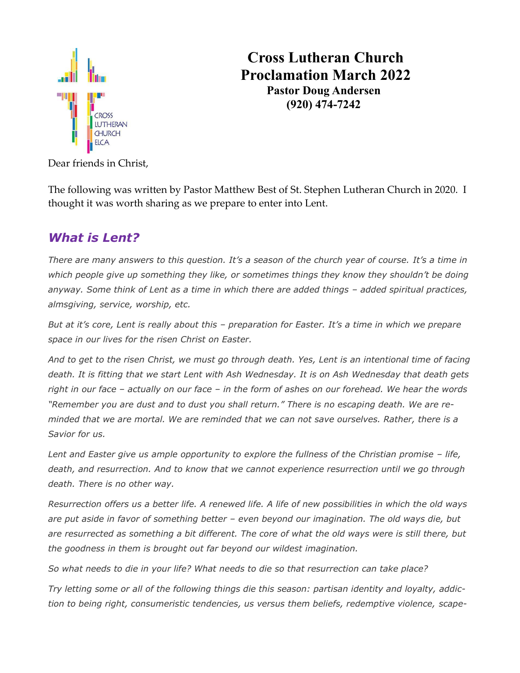

 **Cross Lutheran Church Proclamation March 2022 Pastor Doug Andersen (920) 474-7242**

Dear friends in Christ,

The following was written by Pastor Matthew Best of St. Stephen Lutheran Church in 2020. I thought it was worth sharing as we prepare to enter into Lent.

## *What is Lent?*

*There are many answers to this question. It's a season of the church year of course. It's a time in which people give up something they like, or sometimes things they know they shouldn't be doing anyway. Some think of Lent as a time in which there are added things – added spiritual practices, almsgiving, service, worship, etc.*

*But at it's core, Lent is really about this – preparation for Easter. It's a time in which we prepare space in our lives for the risen Christ on Easter.*

*And to get to the risen Christ, we must go through death. Yes, Lent is an intentional time of facing death. It is fitting that we start Lent with Ash Wednesday. It is on Ash Wednesday that death gets right in our face – actually on our face – in the form of ashes on our forehead. We hear the words "Remember you are dust and to dust you shall return." There is no escaping death. We are reminded that we are mortal. We are reminded that we can not save ourselves. Rather, there is a Savior for us.*

*Lent and Easter give us ample opportunity to explore the fullness of the Christian promise – life, death, and resurrection. And to know that we cannot experience resurrection until we go through death. There is no other way.*

*Resurrection offers us a better life. A renewed life. A life of new possibilities in which the old ways are put aside in favor of something better – even beyond our imagination. The old ways die, but are resurrected as something a bit different. The core of what the old ways were is still there, but the goodness in them is brought out far beyond our wildest imagination.*

*So what needs to die in your life? What needs to die so that resurrection can take place?*

*Try letting some or all of the following things die this season: partisan identity and loyalty, addiction to being right, consumeristic tendencies, us versus them beliefs, redemptive violence, scape-*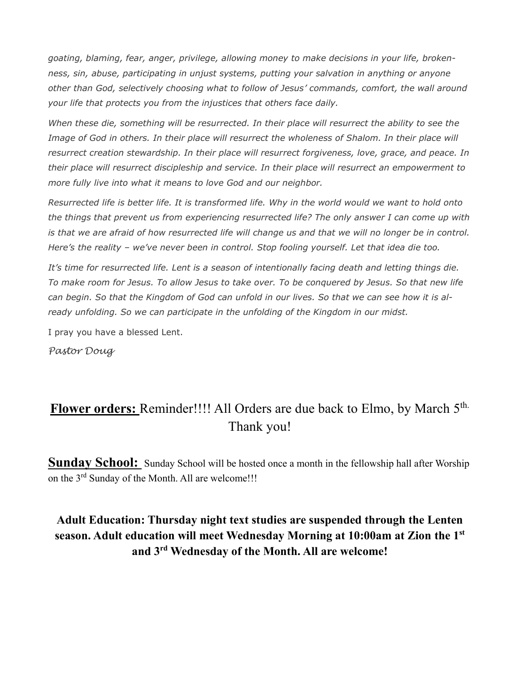*goating, blaming, fear, anger, privilege, allowing money to make decisions in your life, brokenness, sin, abuse, participating in unjust systems, putting your salvation in anything or anyone other than God, selectively choosing what to follow of Jesus' commands, comfort, the wall around your life that protects you from the injustices that others face daily.*

*When these die, something will be resurrected. In their place will resurrect the ability to see the Image of God in others. In their place will resurrect the wholeness of Shalom. In their place will resurrect creation stewardship. In their place will resurrect forgiveness, love, grace, and peace. In their place will resurrect discipleship and service. In their place will resurrect an empowerment to more fully live into what it means to love God and our neighbor.*

*Resurrected life is better life. It is transformed life. Why in the world would we want to hold onto the things that prevent us from experiencing resurrected life? The only answer I can come up with is that we are afraid of how resurrected life will change us and that we will no longer be in control. Here's the reality – we've never been in control. Stop fooling yourself. Let that idea die too.*

*It's time for resurrected life. Lent is a season of intentionally facing death and letting things die. To make room for Jesus. To allow Jesus to take over. To be conquered by Jesus. So that new life can begin. So that the Kingdom of God can unfold in our lives. So that we can see how it is already unfolding. So we can participate in the unfolding of the Kingdom in our midst.*

I pray you have a blessed Lent.

*Pastor Doug*

# Flower orders: Reminder!!!! All Orders are due back to Elmo, by March 5<sup>th.</sup> Thank you!

**Sunday School:** Sunday School will be hosted once a month in the fellowship hall after Worship on the 3<sup>rd</sup> Sunday of the Month. All are welcome!!!

### **Adult Education: Thursday night text studies are suspended through the Lenten season. Adult education will meet Wednesday Morning at 10:00am at Zion the 1st and 3rd Wednesday of the Month. All are welcome!**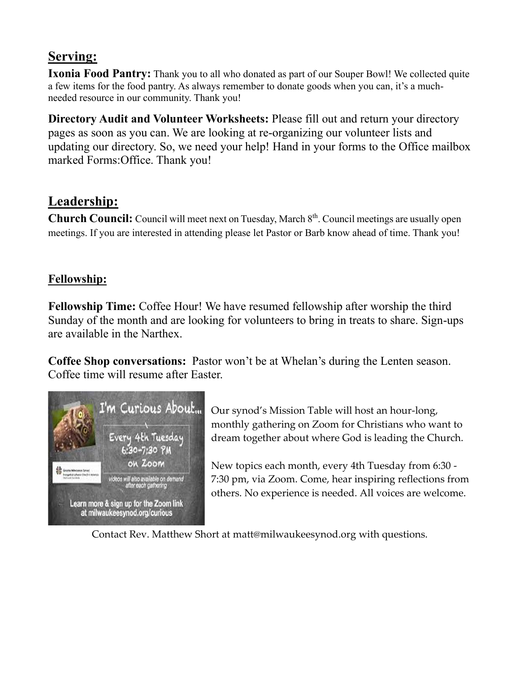## **Serving:**

**Ixonia Food Pantry:** Thank you to all who donated as part of our Souper Bowl! We collected quite a few items for the food pantry. As always remember to donate goods when you can, it's a muchneeded resource in our community. Thank you!

**Directory Audit and Volunteer Worksheets:** Please fill out and return your directory pages as soon as you can. We are looking at re-organizing our volunteer lists and updating our directory. So, we need your help! Hand in your forms to the Office mailbox marked Forms:Office. Thank you!

## **Leadership:**

Church Council: Council will meet next on Tuesday, March 8<sup>th</sup>. Council meetings are usually open meetings. If you are interested in attending please let Pastor or Barb know ahead of time. Thank you!

### **Fellowship:**

**Fellowship Time:** Coffee Hour! We have resumed fellowship after worship the third Sunday of the month and are looking for volunteers to bring in treats to share. Sign-ups are available in the Narthex.

**Coffee Shop conversations:** Pastor won't be at Whelan's during the Lenten season. Coffee time will resume after Easter.



Our synod's Mission Table will host an hour-long, monthly gathering on Zoom for Christians who want to dream together about where God is leading the Church.

New topics each month, every 4th Tuesday from 6:30 - 7:30 pm, via Zoom. Come, hear inspiring reflections from others. No experience is needed. All voices are welcome.

Contact Rev. Matthew Short at matt@milwaukeesynod.org with questions.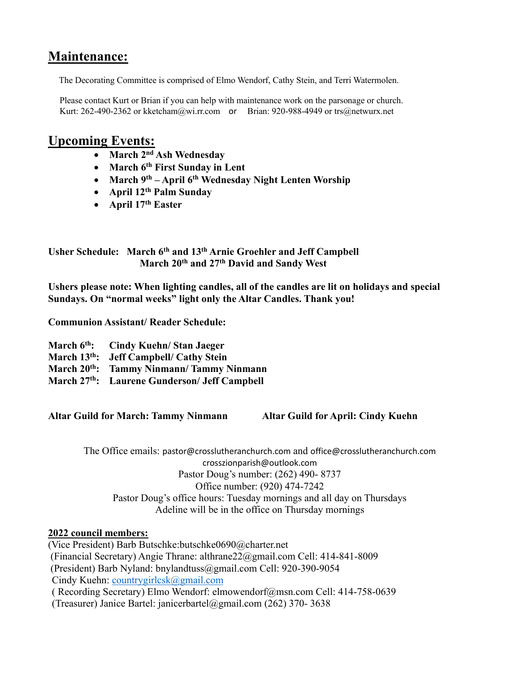## **Maintenance:**

The Decorating Committee is comprised of Elmo Wendorf, Cathy Stein, and Terri Watermolen.

Please contact Kurt or Brian if you can help with maintenance work on the parsonage or church. Kurt: 262-490-2362 o[r kketcham@wi.rr.com](mailto:kketcham@wi.rr.com) or Brian: 920-988-4949 [or trs@netwurx.net](mailto:or%20trs@netwurx.net)

## **Upcoming Events:**

- **March 2nd Ash Wednesday**
- **March 6th First Sunday in Lent**
- **March 9th – April 6 th Wednesday Night Lenten Worship**
- **April 12th Palm Sunday**
- **April 17th Easter**

**Usher Schedule: March 6th and 13th Arnie Groehler and Jeff Campbell March 20th and 27th David and Sandy West** 

**Ushers please note: When lighting candles, all of the candles are lit on holidays and special Sundays. On "normal weeks" light only the Altar Candles. Thank you!** 

**Communion Assistant/ Reader Schedule:**

| March 6 <sup>th</sup> : Cindy Kuehn/Stan Jaeger      |
|------------------------------------------------------|
| March 13 <sup>th</sup> : Jeff Campbell/ Cathy Stein  |
| March 20 <sup>th</sup> : Tammy Ninmann/Tammy Ninmann |
| March 27th: Laurene Gunderson/ Jeff Campbell         |
|                                                      |

**Altar Guild for March: Tammy Ninmann Altar Guild for April: Cindy Kuehn** 

The Office emails: [pastor@crosslutheranchurch.com](mailto:pastor@crosslutheranchurch.com) and [office@crosslutheranchurch.com](mailto:office@crosslutheranchurch.com) crosszionparish@outlook.com Pastor Doug's number: (262) 490- 8737 Office number: (920) 474-7242 Pastor Doug's office hours: Tuesday mornings and all day on Thursdays Adeline will be in the office on Thursday mornings

#### **2022 council members:**

(Vice President) Barb Butschke:butschke0690@charter.net (Financial Secretary) Angie Thrane: althrane22@gmail.com Cell: 414-841-8009 (President) Barb Nyland: bnylandtuss@gmail.com Cell: 920-390-9054 Cindy Kuehn: [countrygirlcsk@gmail.com](mailto:countrygirlcsk@gmail.com) ( Recording Secretary) Elmo Wendorf: elmowendorf@msn.com Cell: 414-758-0639 (Treasurer) Janice Bartel: janicerbartel@gmail.com (262) 370- 3638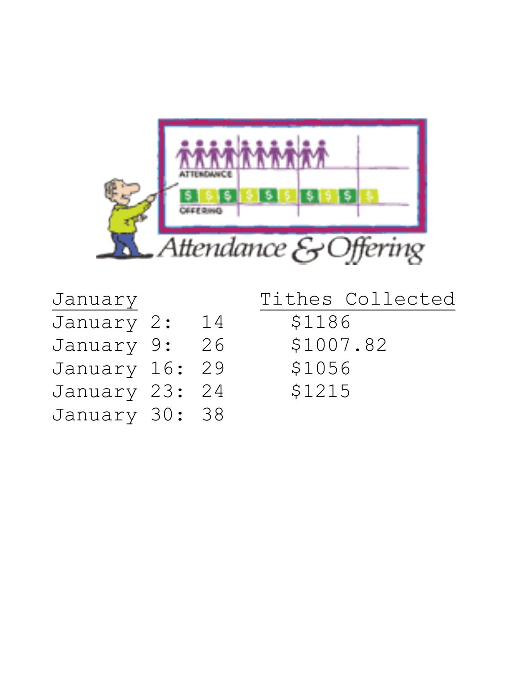

| January |      |    |
|---------|------|----|
| January | -2 : | 14 |
| January | 9 :  | 26 |
| January | 16:  | 29 |
| January | 23:  | 24 |
| January | 30 : | 38 |

Tithes Collected \$1186 \$1007.82 \$1056 \$1215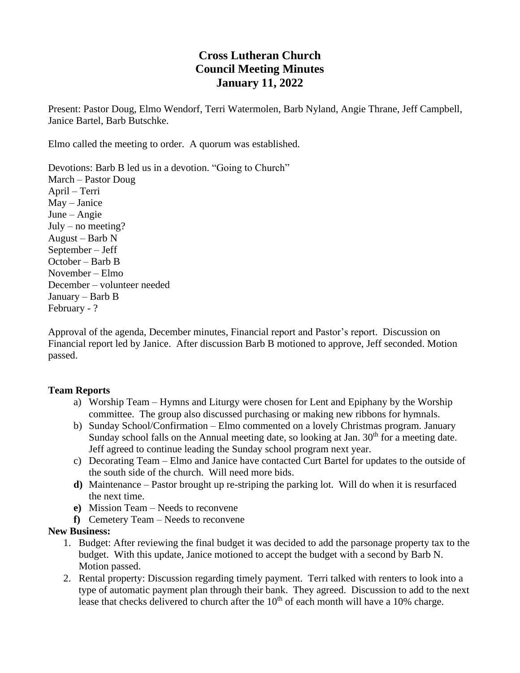### **Cross Lutheran Church Council Meeting Minutes January 11, 2022**

Present: Pastor Doug, Elmo Wendorf, Terri Watermolen, Barb Nyland, Angie Thrane, Jeff Campbell, Janice Bartel, Barb Butschke.

Elmo called the meeting to order. A quorum was established.

Devotions: Barb B led us in a devotion. "Going to Church" March – Pastor Doug April – Terri May – Janice June – Angie  $July – no meeting?$ August – Barb N September – Jeff October – Barb B November – Elmo December – volunteer needed January – Barb B February - ?

Approval of the agenda, December minutes, Financial report and Pastor's report. Discussion on Financial report led by Janice. After discussion Barb B motioned to approve, Jeff seconded. Motion passed.

#### **Team Reports**

- a) Worship Team Hymns and Liturgy were chosen for Lent and Epiphany by the Worship committee. The group also discussed purchasing or making new ribbons for hymnals.
- b) Sunday School/Confirmation Elmo commented on a lovely Christmas program. January Sunday school falls on the Annual meeting date, so looking at Jan.  $30<sup>th</sup>$  for a meeting date. Jeff agreed to continue leading the Sunday school program next year.
- c) Decorating Team Elmo and Janice have contacted Curt Bartel for updates to the outside of the south side of the church. Will need more bids.
- **d)** Maintenance Pastor brought up re-striping the parking lot. Will do when it is resurfaced the next time.
- **e)** Mission Team Needs to reconvene
- **f)** Cemetery Team Needs to reconvene

#### **New Business:**

- 1. Budget: After reviewing the final budget it was decided to add the parsonage property tax to the budget. With this update, Janice motioned to accept the budget with a second by Barb N. Motion passed.
- 2. Rental property: Discussion regarding timely payment. Terri talked with renters to look into a type of automatic payment plan through their bank. They agreed. Discussion to add to the next lease that checks delivered to church after the  $10<sup>th</sup>$  of each month will have a 10% charge.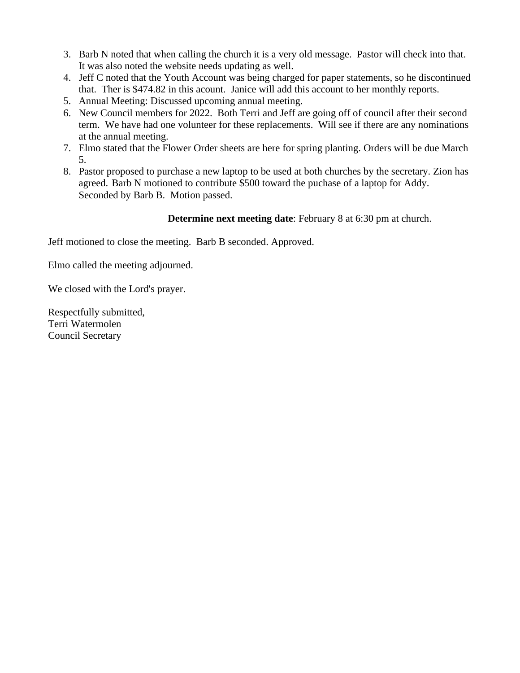- 3. Barb N noted that when calling the church it is a very old message. Pastor will check into that. It was also noted the website needs updating as well.
- 4. Jeff C noted that the Youth Account was being charged for paper statements, so he discontinued that. Ther is \$474.82 in this acount. Janice will add this account to her monthly reports.
- 5. Annual Meeting: Discussed upcoming annual meeting.
- 6. New Council members for 2022. Both Terri and Jeff are going off of council after their second term. We have had one volunteer for these replacements. Will see if there are any nominations at the annual meeting.
- 7. Elmo stated that the Flower Order sheets are here for spring planting. Orders will be due March 5.
- 8. Pastor proposed to purchase a new laptop to be used at both churches by the secretary. Zion has agreed. Barb N motioned to contribute \$500 toward the puchase of a laptop for Addy. Seconded by Barb B. Motion passed.

#### **Determine next meeting date**: February 8 at 6:30 pm at church.

Jeff motioned to close the meeting. Barb B seconded. Approved.

Elmo called the meeting adjourned.

We closed with the Lord's prayer.

Respectfully submitted, Terri Watermolen Council Secretary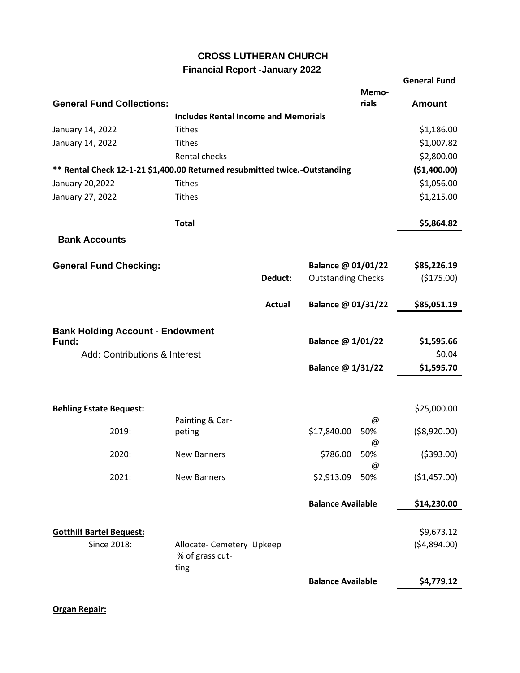#### **CROSS LUTHERAN CHURCH**

#### **Financial Report -January 2022**

|                                                                            |                                             |               |                                      | <b>General Fund</b> |
|----------------------------------------------------------------------------|---------------------------------------------|---------------|--------------------------------------|---------------------|
|                                                                            |                                             |               | Memo-                                |                     |
| <b>General Fund Collections:</b>                                           |                                             |               | rials                                | <b>Amount</b>       |
|                                                                            | <b>Includes Rental Income and Memorials</b> |               |                                      |                     |
| January 14, 2022                                                           | <b>Tithes</b>                               |               |                                      | \$1,186.00          |
| January 14, 2022                                                           | <b>Tithes</b>                               |               |                                      | \$1,007.82          |
|                                                                            | Rental checks                               |               |                                      | \$2,800.00          |
| ** Rental Check 12-1-21 \$1,400.00 Returned resubmitted twice.-Outstanding | (\$1,400.00)                                |               |                                      |                     |
| January 20,2022                                                            | <b>Tithes</b>                               |               |                                      | \$1,056.00          |
| January 27, 2022                                                           | <b>Tithes</b>                               |               |                                      | \$1,215.00          |
|                                                                            | <b>Total</b>                                |               |                                      | \$5,864.82          |
|                                                                            |                                             |               |                                      |                     |
| <b>Bank Accounts</b>                                                       |                                             |               |                                      |                     |
| <b>General Fund Checking:</b>                                              |                                             |               | Balance @ 01/01/22                   | \$85,226.19         |
|                                                                            |                                             | Deduct:       | <b>Outstanding Checks</b>            | (\$175.00)          |
|                                                                            |                                             |               |                                      |                     |
|                                                                            |                                             | <b>Actual</b> | Balance @ 01/31/22                   | \$85,051.19         |
|                                                                            |                                             |               |                                      |                     |
| <b>Bank Holding Account - Endowment</b><br>Balance @ 1/01/22<br>Fund:      |                                             |               |                                      | \$1,595.66          |
| Add: Contributions & Interest                                              |                                             |               |                                      | \$0.04              |
|                                                                            |                                             |               | Balance @ 1/31/22                    | \$1,595.70          |
|                                                                            |                                             |               |                                      |                     |
|                                                                            |                                             |               |                                      |                     |
| <b>Behling Estate Bequest:</b>                                             |                                             |               |                                      | \$25,000.00         |
|                                                                            | Painting & Car-                             |               | @                                    |                     |
| 2019:                                                                      | peting                                      |               | \$17,840.00<br>50%                   | ( \$8,920.00)       |
|                                                                            |                                             |               | @                                    |                     |
| 2020:                                                                      | <b>New Banners</b>                          |               | \$786.00<br>50%                      | ( \$393.00)         |
| 2021:                                                                      | <b>New Banners</b>                          |               | $^{\copyright}$<br>50%<br>\$2,913.09 | (\$1,457.00)        |
|                                                                            |                                             |               |                                      |                     |
|                                                                            |                                             |               | <b>Balance Available</b>             | \$14,230.00         |
|                                                                            |                                             |               |                                      |                     |
| <b>Gotthilf Bartel Bequest:</b>                                            |                                             |               |                                      | \$9,673.12          |
| Since 2018:                                                                | Allocate- Cemetery Upkeep                   |               |                                      | (54,894.00)         |
|                                                                            | % of grass cut-                             |               |                                      |                     |
|                                                                            | ting                                        |               |                                      |                     |
|                                                                            |                                             |               | <b>Balance Available</b>             | \$4,779.12          |
|                                                                            |                                             |               |                                      |                     |

**Organ Repair:**